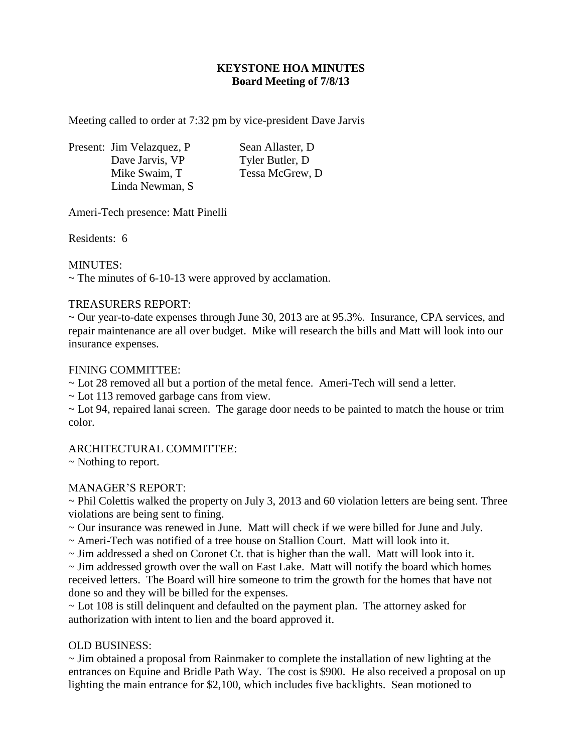# **KEYSTONE HOA MINUTES Board Meeting of 7/8/13**

Meeting called to order at 7:32 pm by vice-president Dave Jarvis

Present: Jim Velazquez, P Sean Allaster, D Dave Jarvis, VP Tyler Butler, D Mike Swaim, T Tessa McGrew, D Linda Newman, S

Ameri-Tech presence: Matt Pinelli

Residents: 6

## MINUTES:

 $\sim$  The minutes of 6-10-13 were approved by acclamation.

## TREASURERS REPORT:

~ Our year-to-date expenses through June 30, 2013 are at 95.3%. Insurance, CPA services, and repair maintenance are all over budget. Mike will research the bills and Matt will look into our insurance expenses.

## FINING COMMITTEE:

~ Lot 28 removed all but a portion of the metal fence. Ameri-Tech will send a letter.

~ Lot 113 removed garbage cans from view.

~ Lot 94, repaired lanai screen. The garage door needs to be painted to match the house or trim color.

# ARCHITECTURAL COMMITTEE:

~ Nothing to report.

#### MANAGER'S REPORT:

~ Phil Colettis walked the property on July 3, 2013 and 60 violation letters are being sent. Three violations are being sent to fining.

~ Our insurance was renewed in June. Matt will check if we were billed for June and July.

 $\sim$  Ameri-Tech was notified of a tree house on Stallion Court. Matt will look into it.

 $\sim$  Jim addressed a shed on Coronet Ct. that is higher than the wall. Matt will look into it.

~ Jim addressed growth over the wall on East Lake. Matt will notify the board which homes received letters. The Board will hire someone to trim the growth for the homes that have not done so and they will be billed for the expenses.

~ Lot 108 is still delinquent and defaulted on the payment plan. The attorney asked for authorization with intent to lien and the board approved it.

# OLD BUSINESS:

~ Jim obtained a proposal from Rainmaker to complete the installation of new lighting at the entrances on Equine and Bridle Path Way. The cost is \$900. He also received a proposal on up lighting the main entrance for \$2,100, which includes five backlights. Sean motioned to